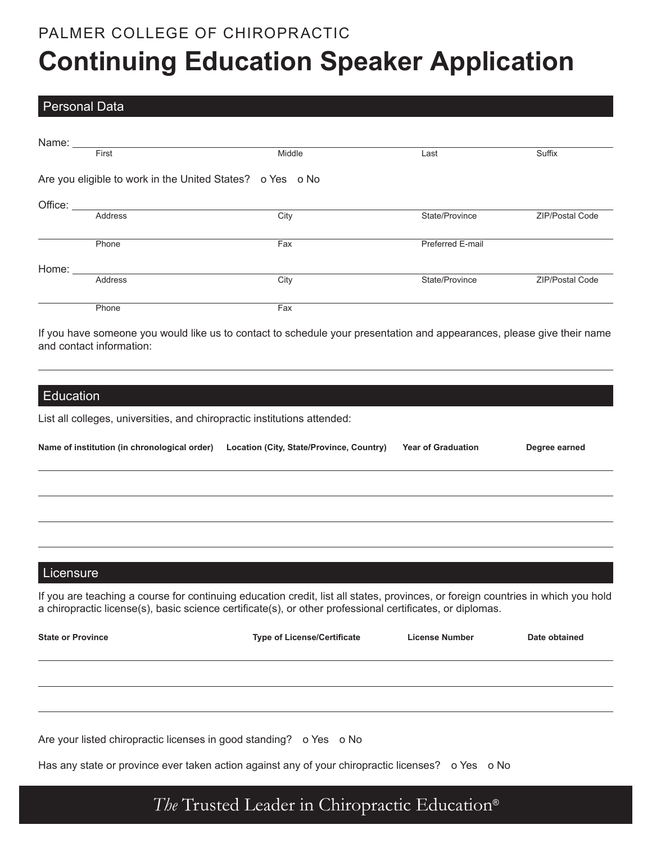## PALMER COLLEGE OF CHIROPRACTIC **Continuing Education Speaker Application**

#### Personal Data

| Name: ______ |                |                                                           |                  |                        |
|--------------|----------------|-----------------------------------------------------------|------------------|------------------------|
|              | First          | Middle                                                    | Last             | Suffix                 |
|              |                | Are you eligible to work in the United States? o Yes o No |                  |                        |
| Office:      |                |                                                           |                  |                        |
|              | Address        | City                                                      | State/Province   | <b>ZIP/Postal Code</b> |
|              |                |                                                           |                  |                        |
|              | Phone          | Fax                                                       | Preferred E-mail |                        |
| Home:        |                |                                                           |                  |                        |
|              | <b>Address</b> | City                                                      | State/Province   | <b>ZIP/Postal Code</b> |
|              |                |                                                           |                  |                        |
|              | Phone          | Fax                                                       |                  |                        |

If you have someone you would like us to contact to schedule your presentation and appearances, please give their name and contact information:

#### **Education**

List all colleges, universities, and chiropractic institutions attended:

| Name of institution (in chronological order) | Location (City, State/Province, Country) | <b>Year of Graduation</b> | Degree earned |
|----------------------------------------------|------------------------------------------|---------------------------|---------------|
|                                              |                                          |                           |               |
|                                              |                                          |                           |               |
|                                              |                                          |                           |               |

#### **Licensure**

If you are teaching a course for continuing education credit, list all states, provinces, or foreign countries in which you hold a chiropractic license(s), basic science certificate(s), or other professional certificates, or diplomas.

| <b>State or Province</b> | <b>Type of License/Certificate</b> | <b>License Number</b> | Date obtained |
|--------------------------|------------------------------------|-----------------------|---------------|
|                          |                                    |                       |               |
|                          |                                    |                       |               |

Are your listed chiropractic licenses in good standing? o Yes o No

Has any state or province ever taken action against any of your chiropractic licenses? o Yes o No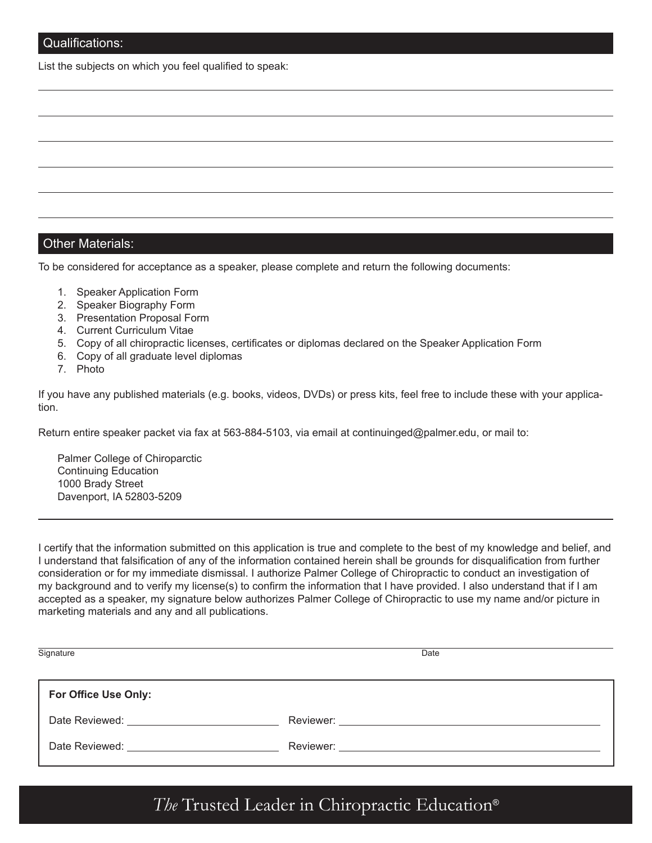List the subjects on which you feel qualified to speak:

#### Other Materials:

To be considered for acceptance as a speaker, please complete and return the following documents:

- 1. Speaker Application Form
- 2. Speaker Biography Form
- 3. Presentation Proposal Form
- 4. Current Curriculum Vitae
- 5. Copy of all chiropractic licenses, certificates or diplomas declared on the Speaker Application Form
- 6. Copy of all graduate level diplomas
- 7. Photo

If you have any published materials (e.g. books, videos, DVDs) or press kits, feel free to include these with your application.

Return entire speaker packet via fax at 563-884-5103, via email at continuinged@palmer.edu, or mail to:

Palmer College of Chiroparctic Continuing Education 1000 Brady Street Davenport, IA 52803-5209

I certify that the information submitted on this application is true and complete to the best of my knowledge and belief, and I understand that falsification of any of the information contained herein shall be grounds for disqualification from further consideration or for my immediate dismissal. I authorize Palmer College of Chiropractic to conduct an investigation of my background and to verify my license(s) to confirm the information that I have provided. I also understand that if I am accepted as a speaker, my signature below authorizes Palmer College of Chiropractic to use my name and/or picture in marketing materials and any and all publications.

| Signature                    | Date |
|------------------------------|------|
| For Office Use Only:         |      |
| Date Reviewed: New York 1999 |      |
| Date Reviewed:               |      |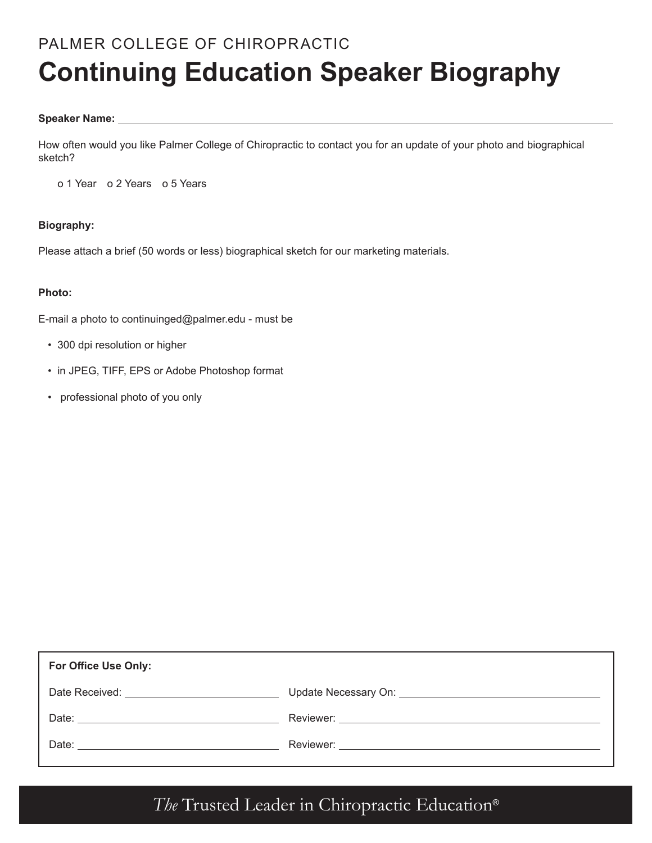# PALMER COLLEGE OF CHIROPRACTIC **Continuing Education Speaker Biography**

#### **Speaker Name:**

How often would you like Palmer College of Chiropractic to contact you for an update of your photo and biographical sketch?

o 1 Year o 2 Years o 5 Years

#### **Biography:**

Please attach a brief (50 words or less) biographical sketch for our marketing materials.

#### **Photo:**

E-mail a photo to continuinged@palmer.edu - must be

- 300 dpi resolution or higher
- in JPEG, TIFF, EPS or Adobe Photoshop format
- professional photo of you only

| For Office Use Only: |                                           |
|----------------------|-------------------------------------------|
|                      | Update Necessary On: Update Necessary On: |
|                      |                                           |
|                      |                                           |